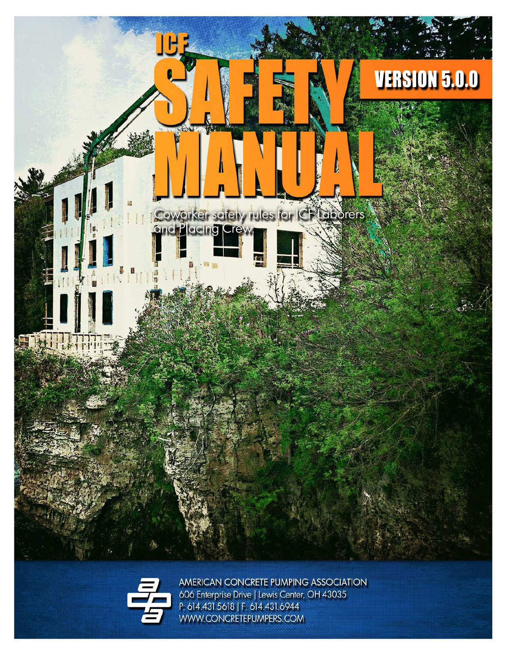



AMERICAN CONCRETE PUMPING ASSOCIATION 606 Enterprise Drive | Lewis Center, OH 43035 P: 614.431.5618 | F: 614.431.6944 WWW.CONCRETEPUMPERS.COM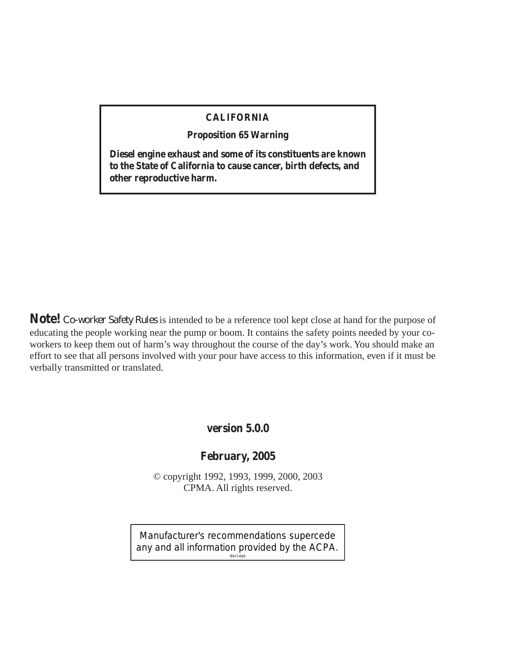#### **CALIFORNIA**

**Proposition 65 Warning**

**Diesel engine exhaust and some of its constituents are known to the State of California to cause cancer, birth defects, and other reproductive harm.**

**Note!** *Co-worker Safety Rules* is intended to be a reference tool kept close at hand for the purpose of educating the people working near the pump or boom. It contains the safety points needed by your coworkers to keep them out of harm's way throughout the course of the day's work. You should make an effort to see that all persons involved with your pour have access to this information, even if it must be verbally transmitted or translated.

#### **version 5.0.0**

#### **February, 2005**

© copyright 1992, 1993, 1999, 2000, 2003 CPMA. All rights reserved.

Manufacturer's recommendations supercede any and all information provided by the ACPA. discl.eps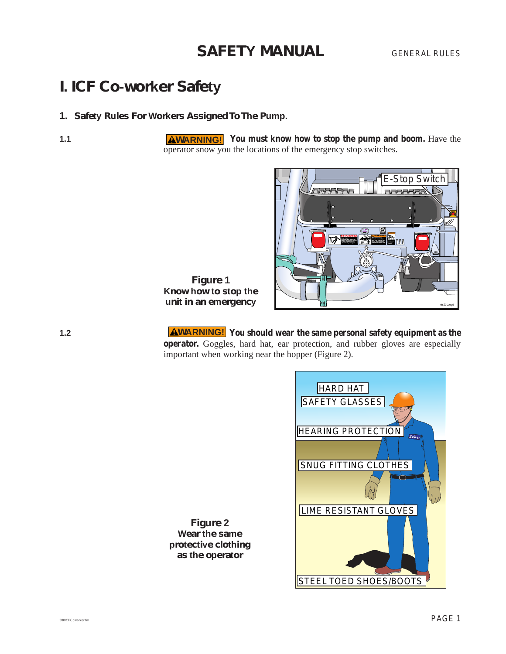GENERAL RULES

# **I. ICF Co-worker Safety**

#### **1. Safety Rules For Workers Assigned To The Pump.**

**1.1 AWARNING!** You must know how to stop the pump and boom. Have the operator show you the locations of the emergency stop switches.



**Figure 1 Know how to stop the unit in an emergency**

**1.2 AWARNING!** You should wear the same personal safety equipment as the **operator.** Goggles, hard hat, ear protection, and rubber gloves are especially important when working near the hopper (Figure 2).

![](_page_2_Picture_10.jpeg)

**Figure 2 Wear the same protective clothing as the operator**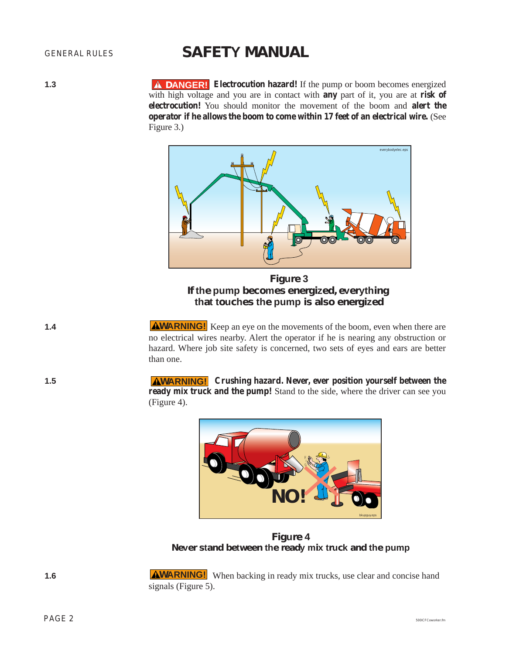**1.3 A DANGER!** Electrocution hazard! If the pump or boom becomes energized with high voltage and you are in contact with **any** part of it, you are at **risk of electrocution!** You should monitor the movement of the boom and **alert the operator if he allows the boom to come within 17 feet of an electrical wire.** (See Figure 3.)

![](_page_3_Picture_4.jpeg)

**Figure 3 If the pump becomes energized, everything that touches the pump is also energized**

- **1.4** MILE AMARNING! Keep an eye on the movements of the boom, even when there are no electrical wires nearby. Alert the operator if he is nearing any obstruction or hazard. Where job site safety is concerned, two sets of eyes and ears are better than one.
- **1.5 AWARNING!** Crushing hazard. Never, ever position yourself between the **ready mix truck and the pump!** Stand to the side, where the driver can see you (Figure 4).

![](_page_3_Picture_8.jpeg)

**Figure 4 Never stand between the ready mix truck and the pump**

**1.6** MARNING! When backing in ready mix trucks, use clear and concise hand signals (Figure 5).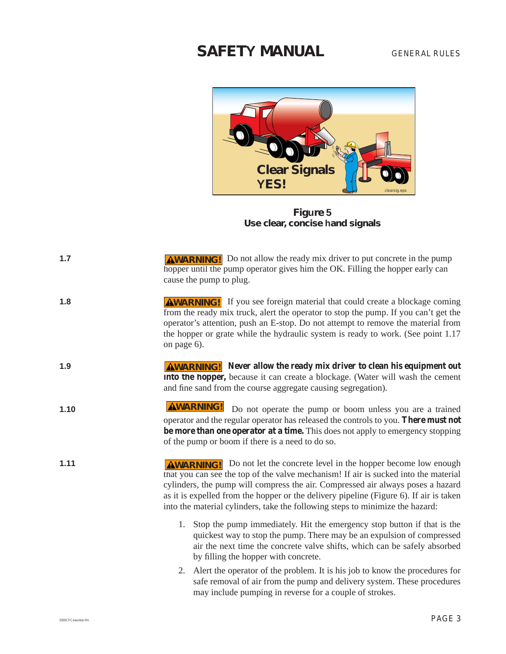![](_page_4_Picture_2.jpeg)

**Figure 5 Use clear, concise hand signals**

| 1.7  | <b>AWARNING!</b> Do not allow the ready mix driver to put concrete in the pump<br>hopper until the pump operator gives him the OK. Filling the hopper early can<br>cause the pump to plug.                                                                                                                                                                                                                                          |
|------|-------------------------------------------------------------------------------------------------------------------------------------------------------------------------------------------------------------------------------------------------------------------------------------------------------------------------------------------------------------------------------------------------------------------------------------|
| 1.8  | <b>AWARNING!</b> If you see foreign material that could create a blockage coming<br>from the ready mix truck, alert the operator to stop the pump. If you can't get the<br>operator's attention, push an E-stop. Do not attempt to remove the material from<br>the hopper or grate while the hydraulic system is ready to work. (See point 1.17<br>on page 6).                                                                      |
| 1.9  | <b>AWARNING!</b> Never allow the ready mix driver to clean his equipment out<br>into the hopper, because it can create a blockage. (Water will wash the cement<br>and fine sand from the course aggregate causing segregation).                                                                                                                                                                                                     |
| 1.10 | <b>AWARNING!</b><br>Do not operate the pump or boom unless you are a trained<br>operator and the regular operator has released the controls to you. There must not<br>be more than one operator at a time. This does not apply to emergency stopping<br>of the pump or boom if there is a need to do so.                                                                                                                            |
| 1.11 | <b>AWARNING!</b> Do not let the concrete level in the hopper become low enough<br>that you can see the top of the valve mechanism! If air is sucked into the material<br>cylinders, the pump will compress the air. Compressed air always poses a hazard<br>as it is expelled from the hopper or the delivery pipeline (Figure 6). If air is taken<br>into the material cylinders, take the following steps to minimize the hazard: |
|      | 1. Stop the pump immediately. Hit the emergency stop button if that is the<br>quickest way to stop the pump. There may be an expulsion of compressed<br>air the next time the concrete valve shifts, which can be safely absorbed<br>by filling the hopper with concrete.                                                                                                                                                           |
|      | A left the operator of the problem. It is his job to know the procedures for<br>2.<br>safe removal of air from the pump and delivery system. These procedures<br>may include pumping in reverse for a couple of strokes.                                                                                                                                                                                                            |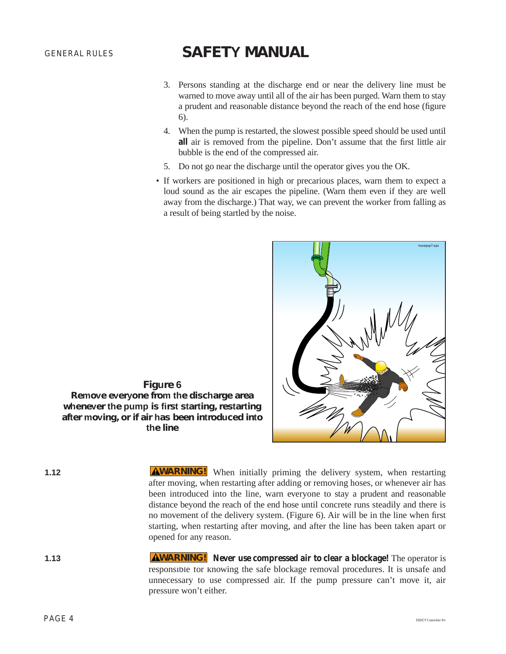- 3. Persons standing at the discharge end or near the delivery line must be warned to move away until all of the air has been purged. Warn them to stay a prudent and reasonable distance beyond the reach of the end hose (figure 6).
- 4. When the pump is restarted, the slowest possible speed should be used until **all** air is removed from the pipeline. Don't assume that the first little air bubble is the end of the compressed air.
- 5. Do not go near the discharge until the operator gives you the OK.
- If workers are positioned in high or precarious places, warn them to expect a loud sound as the air escapes the pipeline. (Warn them even if they are well away from the discharge.) That way, we can prevent the worker from falling as a result of being startled by the noise.

![](_page_5_Picture_6.jpeg)

**Figure 6 Remove everyone from the discharge area whenever the pump is first starting, restarting after moving, or if air has been introduced into the line**

| ×. | ۰. |  |
|----|----|--|
|    |    |  |

**1.12** MILE AWARNING! When initially priming the delivery system, when restarting after moving, when restarting after adding or removing hoses, or whenever air has been introduced into the line, warn everyone to stay a prudent and reasonable distance beyond the reach of the end hose until concrete runs steadily and there is no movement of the delivery system. (Figure 6). Air will be in the line when first starting, when restarting after moving, and after the line has been taken apart or opened for any reason.

**1.13 AWARNING!** Never use compressed air to clear a blockage! The operator is responsible for knowing the safe blockage removal procedures. It is unsafe and unnecessary to use compressed air. If the pump pressure can't move it, air pressure won't either.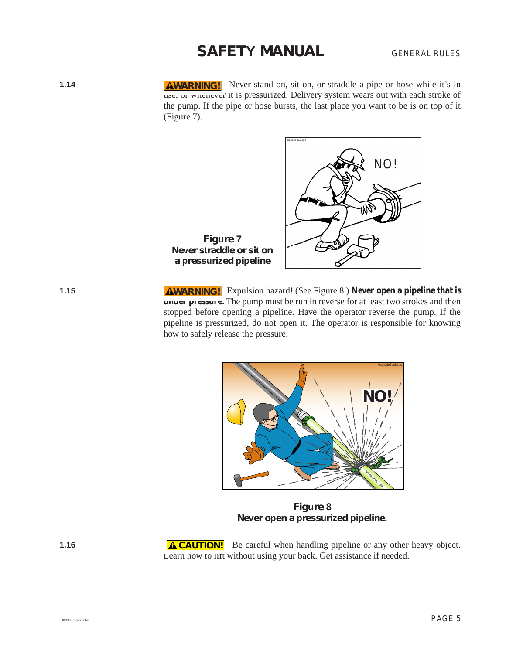**1.14 AWARNING!** Never stand on, sit on, or straddle a pipe or hose while it's in use, or whenever it is pressurized. Delivery system wears out with each stroke of the pump. If the pipe or hose bursts, the last place you want to be is on top of it (Figure 7).

![](_page_6_Figure_3.jpeg)

**1.15** AWARNING! Expulsion hazard! (See Figure 8.) Never open a pipeline that is **under pressure.** The pump must be run in reverse for at least two strokes and then stopped before opening a pipeline. Have the operator reverse the pump. If the pipeline is pressurized, do not open it. The operator is responsible for knowing how to safely release the pressure.

![](_page_6_Figure_5.jpeg)

**Figure 8 Never open a pressurized pipeline.**

**1.16** ACAUTION! Be careful when handling pipeline or any other heavy object. Learn how to lift without using your back. Get assistance if needed.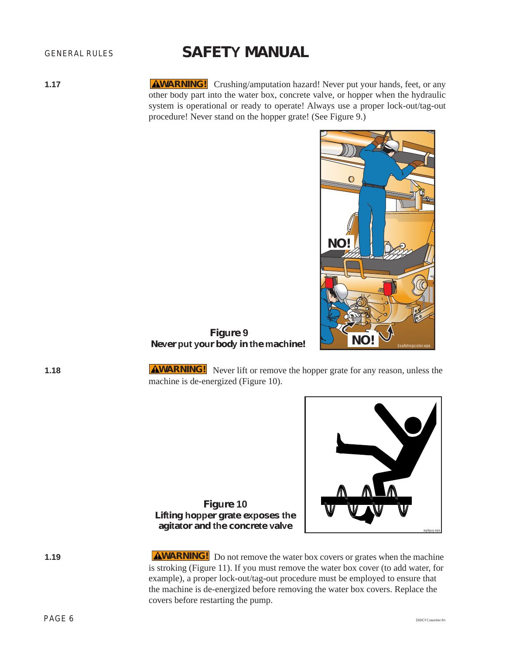#### GENERAL RULES

# **SAFETY MANUAL**

**1.17** MUARNING! Crushing/amputation hazard! Never put your hands, feet, or any other body part into the water box, concrete valve, or hopper when the hydraulic system is operational or ready to operate! Always use a proper lock-out/tag-out procedure! Never stand on the hopper grate! (See Figure 9.)

![](_page_7_Picture_4.jpeg)

**R Never** put your body in the machine!

**1.18 AWARNING!** Never lift or remove the hopper grate for any reason, unless the machine is de-energized (Figure 10).

![](_page_7_Picture_8.jpeg)

**Figure 10 Lifting hopper grate exposes the agitator and the concrete valve**

**1.19 AWARNING!** Do not remove the water box covers or grates when the machine is stroking (Figure 11). If you must remove the water box cover (to add water, for example), a proper lock-out/tag-out procedure must be employed to ensure that the machine is de-energized before removing the water box covers. Replace the covers before restarting the pump.

 $\mathsf{PAGE}\ 6$  solic F.C. solic F.C. solic F.C. solic F.C. solic F.C. solic F.C. solic F.C. solic F.C. solic F.C. solic F.C. solic F.C. solic F.C. solic F.C. solic F.C. solic F.C. solic F.C. solic F.C. solic F.C. solic F.C.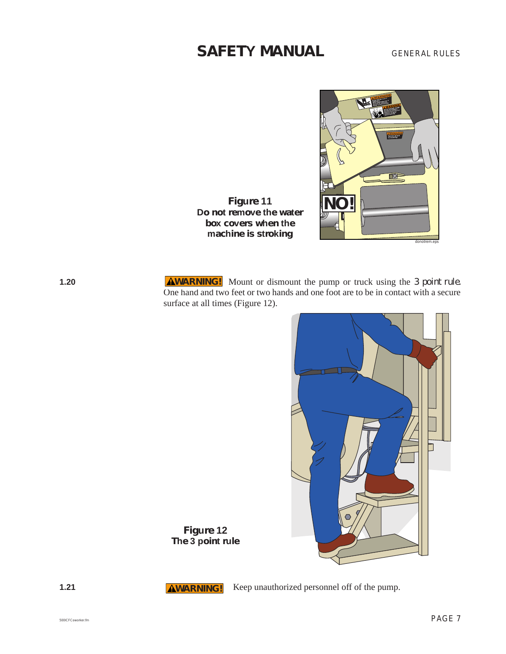GENERAL RULES

![](_page_8_Picture_2.jpeg)

**Figure 11**<br> **Do** not remove the water **box covers when the machine is stroking**

**1.20** Mount or dismount the pump or truck using the 3 point rule. One hand and two feet or two hands and one foot are to be in contact with a secure surface at all times (Figure 12).

![](_page_8_Picture_5.jpeg)

**Figure 12 The 3 point rule**

**AWARNING!** 

**1.21 AWARNING!** Keep unauthorized personnel off of the pump.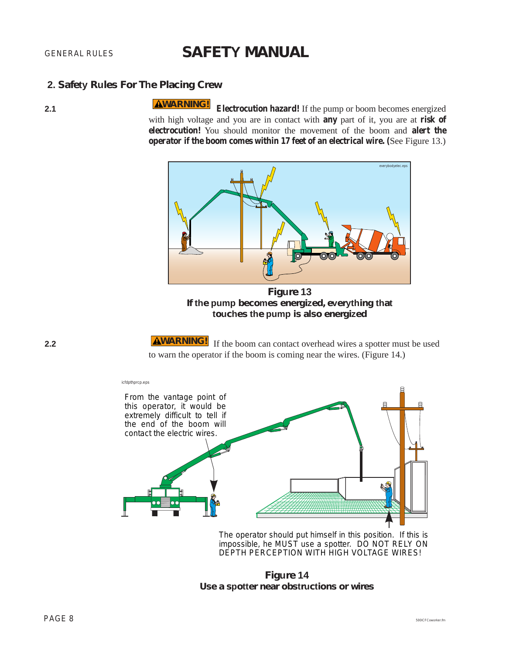#### **2. Safety Rules For The Placing Crew**

**2.1 Electrocution hazard!** If the pump or boom becomes energized with high voltage and you are in contact with **any** part of it, you are at **risk of electrocution!** You should monitor the movement of the boom and **alert the operator if the boom comes within 17 feet of an electrical wire. (**See Figure 13.) **WARNING!**

![](_page_9_Picture_5.jpeg)

**Figure 13 If the pump becomes energized, everything that touches the pump is also energized**

**2.2 If the boom can contact overhead wires a spotter must be used** to warn the operator if the boom is coming near the wires. (Figure 14.)

![](_page_9_Figure_8.jpeg)

The operator should put himself in this position. If this is impossible, he MUST use a spotter. DO NOT RELY ON DEPTH PERCEPTION WITH HIGH VOLTAGE WIRES!

**Figure 14 Use a spotter near obstructions or wires**

![](_page_9_Figure_11.jpeg)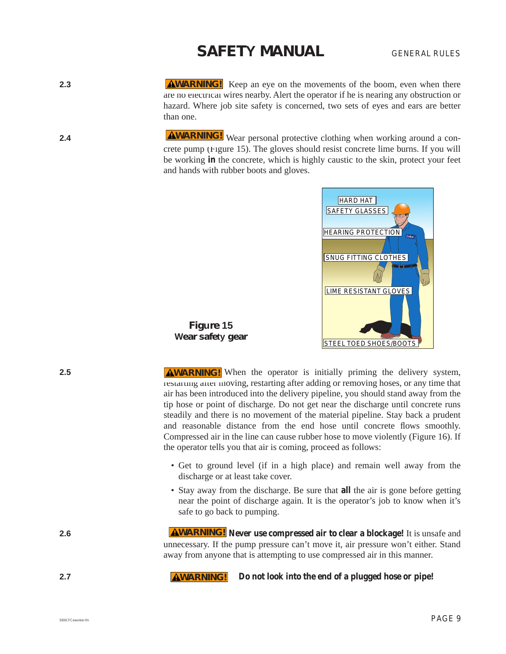GENERAL RULES

- **2.3** AWARNING! Keep an eye on the movements of the boom, even when there are no electrical wires nearby. Alert the operator if he is nearing any obstruction or hazard. Where job site safety is concerned, two sets of eyes and ears are better than one.
- **2.4 AWARNING!** Wear personal protective clothing when working around a concrete pump (Figure 15). The gloves should resist concrete lime burns. If you will be working **in** the concrete, which is highly caustic to the skin, protect your feet and hands with rubber boots and gloves.

![](_page_10_Picture_4.jpeg)

**Figure 15 Wear safety gear**

**2.5** MILE AMARNING! When the operator is initially priming the delivery system, restarting after moving, restarting after adding or removing hoses, or any time that air has been introduced into the delivery pipeline, you should stand away from the tip hose or point of discharge. Do not get near the discharge until concrete runs steadily and there is no movement of the material pipeline. Stay back a prudent and reasonable distance from the end hose until concrete flows smoothly. Compressed air in the line can cause rubber hose to move violently (Figure 16). If the operator tells you that air is coming, proceed as follows:

- Get to ground level (if in a high place) and remain well away from the discharge or at least take cover.
- Stay away from the discharge. Be sure that **all** the air is gone before getting near the point of discharge again. It is the operator's job to know when it's safe to go back to pumping.

**2.6 Never use compressed air to clear a blockage!** It is unsafe and unnecessary. If the pump pressure can't move it, air pressure won't either. Stand away from anyone that is attempting to use compressed air in this manner.

**2.7 Do not look into the end of a plugged hose or pipe! AWARNING!**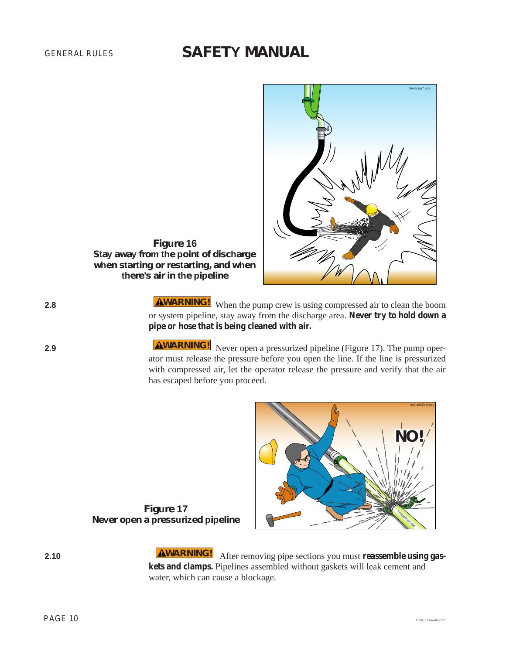![](_page_11_Picture_2.jpeg)

**Figure 16 Stay away from the point of discharge when starting or restarting, and when there's air in the pipeline**

**2.8** MARNING! When the pump crew is using compressed air to clean the boom or system pipeline, stay away from the discharge area. **Never try to hold down a pipe or hose that is being cleaned with air.**

**2.9 AWARNING!** Never open a pressurized pipeline (Figure 17). The pump operator must release the pressure before you open the line. If the line is pressurized with compressed air, let the operator release the pressure and verify that the air has escaped before you proceed.

![](_page_11_Figure_6.jpeg)

**Figure 17 Never open a pressurized pipeline**

**2.10 AWARNING!** After removing pipe sections you must **reassemble using gaskets and clamps.** Pipelines assembled without gaskets will leak cement and water, which can cause a blockage.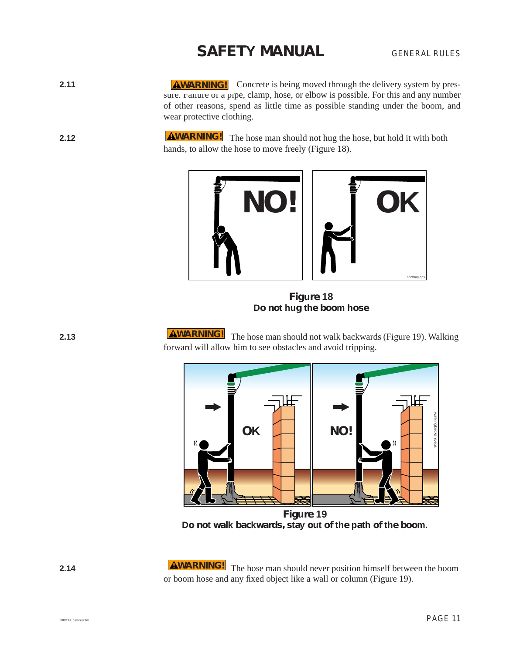GENERAL RULES

- **2.11 AWARNING!** Concrete is being moved through the delivery system by pressure. Failure of a pipe, clamp, hose, or elbow is possible. For this and any number of other reasons, spend as little time as possible standing under the boom, and wear protective clothing.
- **2.12 AWARNING!** The hose man should not hug the hose, but hold it with both hands, to allow the hose to move freely (Figure 18).

![](_page_12_Picture_4.jpeg)

**Figure 18 Do not hug the boom hose**

**2.13 EXECUTE:** The hose man should not walk backwards (Figure 19). Walking forward will allow him to see obstacles and avoid tripping. **AWARNING!** 

![](_page_12_Figure_7.jpeg)

**Figure 19** Do not walk backwards, stay out of the path of the boom.

**2.14 AWARNING!** The hose man should never position himself between the boom or boom hose and any fixed object like a wall or column (Figure 19).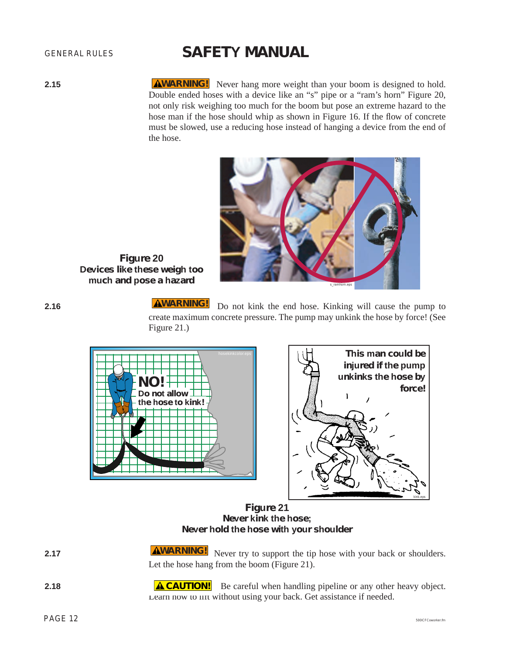GENERAL RULES

**2.15 AWARNING!** Never hang more weight than your boom is designed to hold. Double ended hoses with a device like an "s" pipe or a "ram's horn" Figure 20, not only risk weighing too much for the boom but pose an extreme hazard to the hose man if the hose should whip as shown in Figure 16. If the flow of concrete must be slowed, use a reducing hose instead of hanging a device from the end of the hose.

![](_page_13_Picture_4.jpeg)

**Figure 20 Devices like these weigh too much and pose a hazard**

**2.16 EXECUTE:** Do not kink the end hose. Kinking will cause the pump to create maximum concrete pressure. The pump may unkink the hose by force! (See Figure 21.) **AWARNING!** 

![](_page_13_Figure_7.jpeg)

![](_page_13_Picture_8.jpeg)

**Figure 21 Never kink the hose; Never hold the hose with your shoulder**

| 2.17          | <b>AWARNING!</b> Never try to support the tip hose with your back or shoulders.<br>Let the hose hang from the boom (Figure 21). |
|---------------|---------------------------------------------------------------------------------------------------------------------------------|
| $\sim$ $\sim$ |                                                                                                                                 |

**2.18 ACAUTION!** Be careful when handling pipeline or any other heavy object. Learn how to lift without using your back. Get assistance if needed.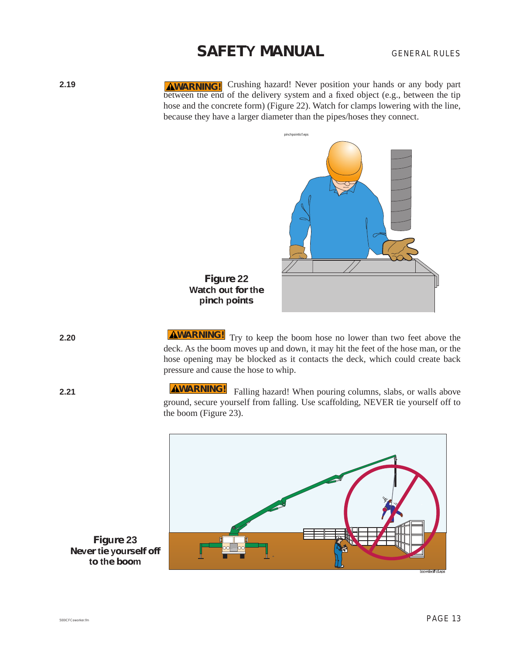GENERAL RULES

**2.19 AWARNING!** Crushing hazard! Never position your hands or any body part between the end of the delivery system and a fixed object (e.g., between the tip hose and the concrete form) (Figure 22). Watch for clamps lowering with the line, because they have a larger diameter than the pipes/hoses they connect.

![](_page_14_Picture_3.jpeg)

**Figure 22 Watch out for the pinch points**

**2.20 AWARNING!** Try to keep the boom hose no lower than two feet above the deck. As the boom moves up and down, it may hit the feet of the hose man, or the hose opening may be blocked as it contacts the deck, which could create back pressure and cause the hose to whip.

**2.21 EXECUTE:** Falling hazard! When pouring columns, slabs, or walls above ground, secure yourself from falling. Use scaffolding, NEVER tie yourself off to the boom (Figure 23). **WARNING!**

![](_page_14_Figure_7.jpeg)